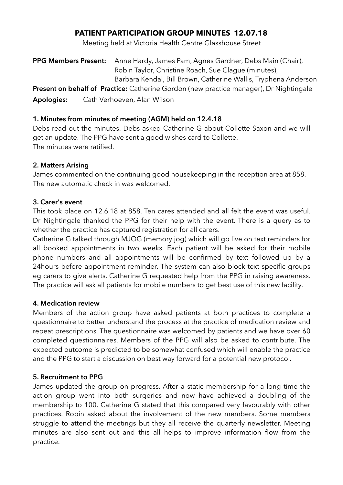# **PATIENT PARTICIPATION GROUP MINUTES 12.07.18**

Meeting held at Victoria Health Centre Glasshouse Street

**PPG Members Present:** Anne Hardy, James Pam, Agnes Gardner, Debs Main (Chair), Robin Taylor, Christine Roach, Sue Clague (minutes), Barbara Kendal, Bill Brown, Catherine Wallis, Tryphena Anderson **Present on behalf of Practice:** Catherine Gordon (new practice manager), Dr Nightingale **Apologies:** Cath Verhoeven, Alan Wilson

# **1. Minutes from minutes of meeting (AGM) held on 12.4.18**

Debs read out the minutes. Debs asked Catherine G about Collette Saxon and we will get an update. The PPG have sent a good wishes card to Collette. The minutes were ratified.

### **2. Matters Arising**

James commented on the continuing good housekeeping in the reception area at 858. The new automatic check in was welcomed.

# **3. Carer's event**

This took place on 12.6.18 at 858. Ten cares attended and all felt the event was useful. Dr Nightingale thanked the PPG for their help with the event. There is a query as to whether the practice has captured registration for all carers.

Catherine G talked through MJOG (memory jog) which will go live on text reminders for all booked appointments in two weeks. Each patient will be asked for their mobile phone numbers and all appointments will be confirmed by text followed up by a 24hours before appointment reminder. The system can also block text specific groups eg carers to give alerts. Catherine G requested help from the PPG in raising awareness. The practice will ask all patients for mobile numbers to get best use of this new facility.

### **4. Medication review**

Members of the action group have asked patients at both practices to complete a questionnaire to better understand the process at the practice of medication review and repeat prescriptions. The questionnaire was welcomed by patients and we have over 60 completed questionnaires. Members of the PPG will also be asked to contribute. The expected outcome is predicted to be somewhat confused which will enable the practice and the PPG to start a discussion on best way forward for a potential new protocol.

### **5. Recruitment to PPG**

James updated the group on progress. After a static membership for a long time the action group went into both surgeries and now have achieved a doubling of the membership to 100. Catherine G stated that this compared very favourably with other practices. Robin asked about the involvement of the new members. Some members struggle to attend the meetings but they all receive the quarterly newsletter. Meeting minutes are also sent out and this all helps to improve information flow from the practice.